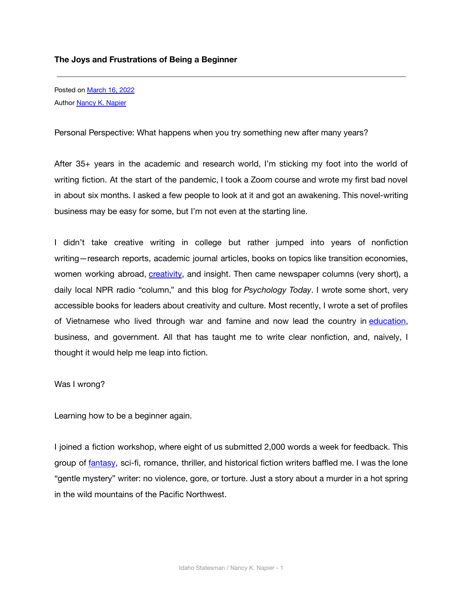Posted on [March 16, 2022](http://nancyknapier.com/the-joys-and-frustrations-of-being-a-beginner/) Author [Nancy K. Napier](http://nancyknapier.com/author/createboisestate-edu/)

Personal Perspective: What happens when you try something new after many years?

After 35+ years in the academic and research world, I'm sticking my foot into the world of writing fiction. At the start of the pandemic, I took a Zoom course and wrote my first bad novel in about six months. I asked a few people to look at it and got an awakening. This novel-writing business may be easy for some, but I'm not even at the starting line.

I didn't take creative writing in college but rather jumped into years of nonfiction writing—research reports, academic journal articles, books on topics like transition economies, women working abroad, *creativity*, and insight. Then came newspaper columns (very short), a daily local NPR radio "column," and this blog for *Psychology Today*. I wrote some short, very accessible books for leaders about creativity and culture. Most recently, I wrote a set of profiles of Vietnamese who lived through war and famine and now lead the country in [education,](https://www.psychologytoday.com/us/basics/education) business, and government. All that has taught me to write clear nonfiction, and, naively, I thought it would help me leap into fiction.

## Was I wrong?

Learning how to be a beginner again.

I joined a fiction workshop, where eight of us submitted 2,000 words a week for feedback. This group of [fantasy,](https://www.psychologytoday.com/us/basics/fantasies) sci-fi, romance, thriller, and historical fiction writers baffled me. I was the lone "gentle mystery" writer: no violence, gore, or torture. Just a story about a murder in a hot spring in the wild mountains of the Pacific Northwest.